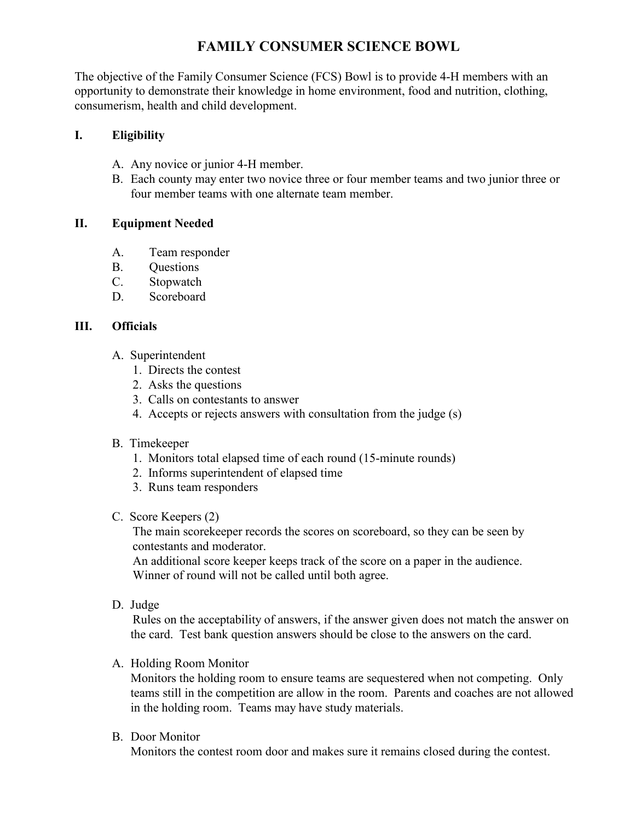# **FAMILY CONSUMER SCIENCE BOWL**

The objective of the Family Consumer Science (FCS) Bowl is to provide 4-H members with an opportunity to demonstrate their knowledge in home environment, food and nutrition, clothing, consumerism, health and child development.

# **I. Eligibility**

- A. Any novice or junior 4-H member.
- B. Each county may enter two novice three or four member teams and two junior three or four member teams with one alternate team member.

# **II. Equipment Needed**

- A. Team responder
- B. Questions
- C. Stopwatch
- D. Scoreboard

# **III. Officials**

- A. Superintendent
	- 1. Directs the contest
	- 2. Asks the questions
	- 3. Calls on contestants to answer
	- 4. Accepts or rejects answers with consultation from the judge (s)

### B. Timekeeper

- 1. Monitors total elapsed time of each round (15-minute rounds)
- 2. Informs superintendent of elapsed time
- 3. Runs team responders

### C. Score Keepers (2)

The main scorekeeper records the scores on scoreboard, so they can be seen by contestants and moderator.

An additional score keeper keeps track of the score on a paper in the audience. Winner of round will not be called until both agree.

D. Judge

Rules on the acceptability of answers, if the answer given does not match the answer on the card. Test bank question answers should be close to the answers on the card.

# A. Holding Room Monitor

Monitors the holding room to ensure teams are sequestered when not competing. Only teams still in the competition are allow in the room. Parents and coaches are not allowed in the holding room. Teams may have study materials.

B. Door Monitor

Monitors the contest room door and makes sure it remains closed during the contest.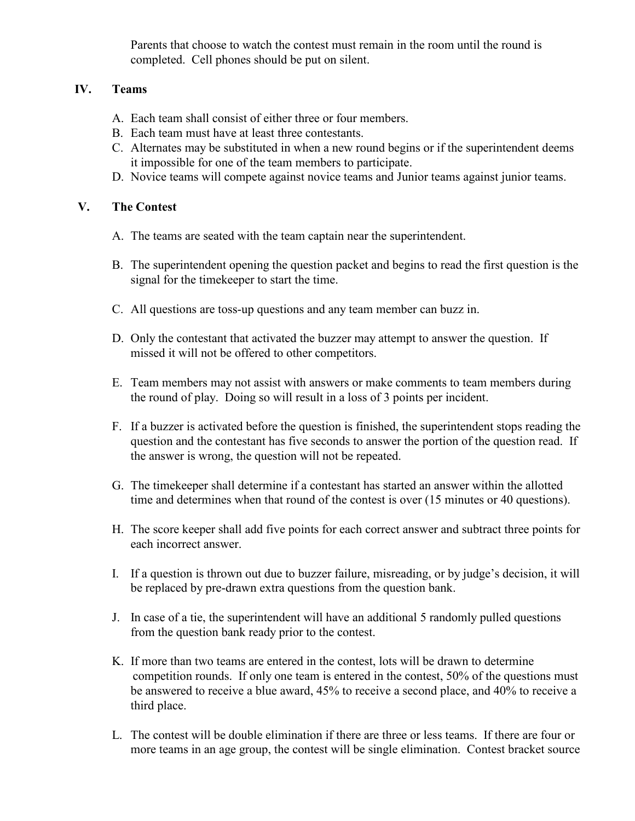Parents that choose to watch the contest must remain in the room until the round is completed. Cell phones should be put on silent.

### **IV. Teams**

- A. Each team shall consist of either three or four members.
- B. Each team must have at least three contestants.
- C. Alternates may be substituted in when a new round begins or if the superintendent deems it impossible for one of the team members to participate.
- D. Novice teams will compete against novice teams and Junior teams against junior teams.

### **V. The Contest**

- A. The teams are seated with the team captain near the superintendent.
- B. The superintendent opening the question packet and begins to read the first question is the signal for the timekeeper to start the time.
- C. All questions are toss-up questions and any team member can buzz in.
- D. Only the contestant that activated the buzzer may attempt to answer the question. If missed it will not be offered to other competitors.
- E. Team members may not assist with answers or make comments to team members during the round of play. Doing so will result in a loss of 3 points per incident.
- F. If a buzzer is activated before the question is finished, the superintendent stops reading the question and the contestant has five seconds to answer the portion of the question read. If the answer is wrong, the question will not be repeated.
- G. The timekeeper shall determine if a contestant has started an answer within the allotted time and determines when that round of the contest is over (15 minutes or 40 questions).
- H. The score keeper shall add five points for each correct answer and subtract three points for each incorrect answer.
- I. If a question is thrown out due to buzzer failure, misreading, or by judge's decision, it will be replaced by pre-drawn extra questions from the question bank.
- J. In case of a tie, the superintendent will have an additional 5 randomly pulled questions from the question bank ready prior to the contest.
- K. If more than two teams are entered in the contest, lots will be drawn to determine competition rounds. If only one team is entered in the contest, 50% of the questions must be answered to receive a blue award, 45% to receive a second place, and 40% to receive a third place.
- L. The contest will be double elimination if there are three or less teams. If there are four or more teams in an age group, the contest will be single elimination. Contest bracket source